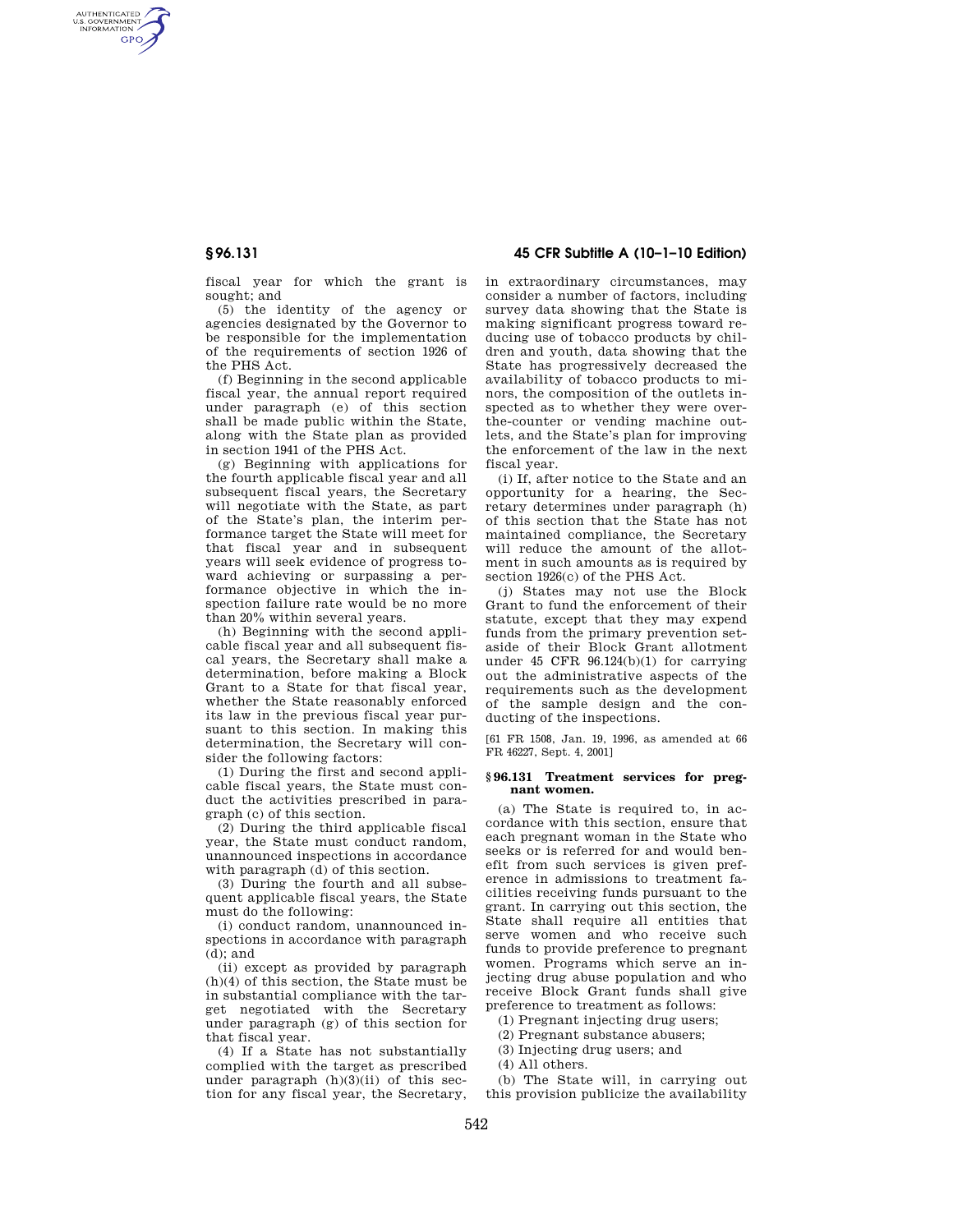AUTHENTICATED<br>U.S. GOVERNMENT<br>INFORMATION **GPO** 

**§ 96.131 45 CFR Subtitle A (10–1–10 Edition)** 

fiscal year for which the grant is sought; and

(5) the identity of the agency or agencies designated by the Governor to be responsible for the implementation of the requirements of section 1926 of the PHS Act.

(f) Beginning in the second applicable fiscal year, the annual report required under paragraph (e) of this section shall be made public within the State, along with the State plan as provided in section 1941 of the PHS Act.

(g) Beginning with applications for the fourth applicable fiscal year and all subsequent fiscal years, the Secretary will negotiate with the State, as part of the State's plan, the interim performance target the State will meet for that fiscal year and in subsequent years will seek evidence of progress toward achieving or surpassing a performance objective in which the inspection failure rate would be no more than 20% within several years.

(h) Beginning with the second applicable fiscal year and all subsequent fiscal years, the Secretary shall make a determination, before making a Block Grant to a State for that fiscal year, whether the State reasonably enforced its law in the previous fiscal year pursuant to this section. In making this determination, the Secretary will consider the following factors:

(1) During the first and second applicable fiscal years, the State must conduct the activities prescribed in paragraph (c) of this section.

(2) During the third applicable fiscal year, the State must conduct random, unannounced inspections in accordance with paragraph (d) of this section.

(3) During the fourth and all subsequent applicable fiscal years, the State must do the following:

(i) conduct random, unannounced inspections in accordance with paragraph  $(d)$ ; and

(ii) except as provided by paragraph (h)(4) of this section, the State must be in substantial compliance with the target negotiated with the Secretary under paragraph (g) of this section for that fiscal year.

(4) If a State has not substantially complied with the target as prescribed under paragraph  $(h)(3)(ii)$  of this section for any fiscal year, the Secretary, in extraordinary circumstances, may consider a number of factors, including survey data showing that the State is making significant progress toward reducing use of tobacco products by children and youth, data showing that the State has progressively decreased the availability of tobacco products to minors, the composition of the outlets inspected as to whether they were overthe-counter or vending machine outlets, and the State's plan for improving the enforcement of the law in the next fiscal year.

(i) If, after notice to the State and an opportunity for a hearing, the Secretary determines under paragraph (h) of this section that the State has not maintained compliance, the Secretary will reduce the amount of the allotment in such amounts as is required by section 1926(c) of the PHS Act.

(j) States may not use the Block Grant to fund the enforcement of their statute, except that they may expend funds from the primary prevention setaside of their Block Grant allotment under 45 CFR 96.124(b)(1) for carrying out the administrative aspects of the requirements such as the development of the sample design and the conducting of the inspections.

[61 FR 1508, Jan. 19, 1996, as amended at 66 FR 46227, Sept. 4, 2001]

## **§ 96.131 Treatment services for pregnant women.**

(a) The State is required to, in accordance with this section, ensure that each pregnant woman in the State who seeks or is referred for and would benefit from such services is given preference in admissions to treatment facilities receiving funds pursuant to the grant. In carrying out this section, the State shall require all entities that serve women and who receive such funds to provide preference to pregnant women. Programs which serve an injecting drug abuse population and who receive Block Grant funds shall give preference to treatment as follows:

(1) Pregnant injecting drug users;

(2) Pregnant substance abusers;

(3) Injecting drug users; and

(4) All others.

(b) The State will, in carrying out this provision publicize the availability